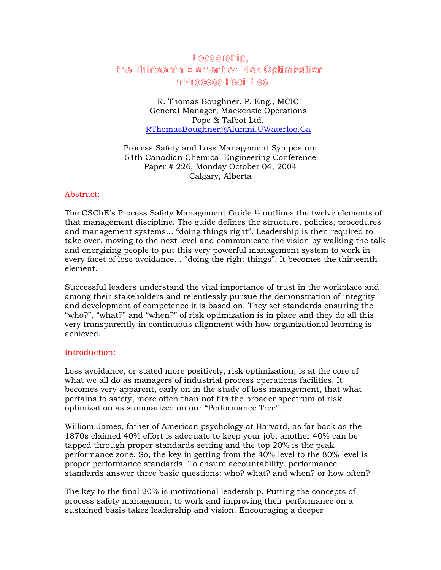# **Leadership, the Thirteenth Element of Risk Optimization in Process Facilities**

R. Thomas Boughner, P. Eng., MCIC General Manager, Mackenzie Operations Pope & Talbot Ltd. RThomasBoughner@Alumni.UWaterloo.Ca

Process Safety and Loss Management Symposium 54th Canadian Chemical Engineering Conference Paper # 226, Monday October 04, 2004 Calgary, Alberta

## Abstract:

The CSChE's Process Safety Management Guide  $11$  outlines the twelve elements of that management discipline. The guide defines the structure, policies, procedures and management systems... "doing things right". Leadership is then required to take over, moving to the next level and communicate the vision by walking the talk and energizing people to put this very powerful management system to work in every facet of loss avoidance… "doing the right things". It becomes the thirteenth element.

Successful leaders understand the vital importance of trust in the workplace and among their stakeholders and relentlessly pursue the demonstration of integrity and development of competence it is based on. They set standards ensuring the "who?", "what?" and "when?" of risk optimization is in place and they do all this very transparently in continuous alignment with how organizational learning is achieved.

# Introduction:

Loss avoidance, or stated more positively, risk optimization, is at the core of what we all do as managers of industrial process operations facilities. It becomes very apparent, early on in the study of loss management, that what pertains to safety, more often than not fits the broader spectrum of risk optimization as summarized on our "Performance Tree".

William James, father of American psychology at Harvard, as far back as the 1870s claimed 40% effort is adequate to keep your job, another 40% can be tapped through proper standards setting and the top 20% is the peak performance zone. So, the key in getting from the 40% level to the 80% level is proper performance standards. To ensure accountability, performance standards answer three basic questions: who? what? and when? or how often?

The key to the final 20% is motivational leadership. Putting the concepts of process safety management to work and improving their performance on a sustained basis takes leadership and vision. Encouraging a deeper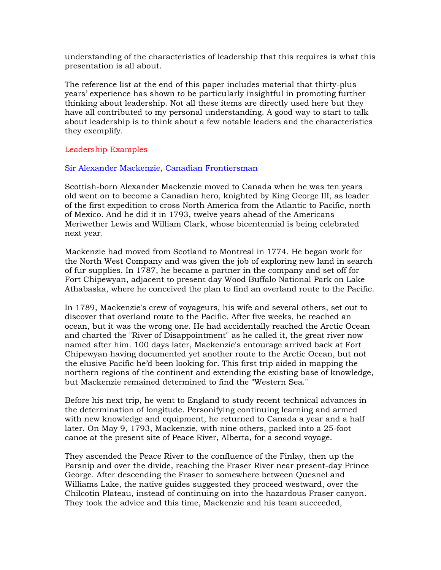understanding of the characteristics of leadership that this requires is what this presentation is all about.

The reference list at the end of this paper includes material that thirty-plus years' experience has shown to be particularly insightful in promoting further thinking about leadership. Not all these items are directly used here but they have all contributed to my personal understanding. A good way to start to talk about leadership is to think about a few notable leaders and the characteristics they exemplify.

## Leadership Examples

#### Sir Alexander Mackenzie, Canadian Frontiersman

Scottish-born Alexander Mackenzie moved to Canada when he was ten years old went on to become a Canadian hero, knighted by King George III, as leader of the first expedition to cross North America from the Atlantic to Pacific, north of Mexico. And he did it in 1793, twelve years ahead of the Americans Meriwether Lewis and William Clark, whose bicentennial is being celebrated next year.

Mackenzie had moved from Scotland to Montreal in 1774. He began work for the North West Company and was given the job of exploring new land in search of fur supplies. In 1787, he became a partner in the company and set off for Fort Chipewyan, adjacent to present day Wood Buffalo National Park on Lake Athabaska, where he conceived the plan to find an overland route to the Pacific.

In 1789, Mackenzie's crew of voyageurs, his wife and several others, set out to discover that overland route to the Pacific. After five weeks, he reached an ocean, but it was the wrong one. He had accidentally reached the Arctic Ocean and charted the "River of Disappointment" as he called it, the great river now named after him. 100 days later, Mackenzie's entourage arrived back at Fort Chipewyan having documented yet another route to the Arctic Ocean, but not the elusive Pacific he'd been looking for. This first trip aided in mapping the northern regions of the continent and extending the existing base of knowledge, but Mackenzie remained determined to find the "Western Sea."

Before his next trip, he went to England to study recent technical advances in the determination of longitude. Personifying continuing learning and armed with new knowledge and equipment, he returned to Canada a year and a half later. On May 9, 1793, Mackenzie, with nine others, packed into a 25-foot canoe at the present site of Peace River, Alberta, for a second voyage.

They ascended the Peace River to the confluence of the Finlay, then up the Parsnip and over the divide, reaching the Fraser River near present-day Prince George. After descending the Fraser to somewhere between Quesnel and Williams Lake, the native guides suggested they proceed westward, over the Chilcotin Plateau, instead of continuing on into the hazardous Fraser canyon. They took the advice and this time, Mackenzie and his team succeeded,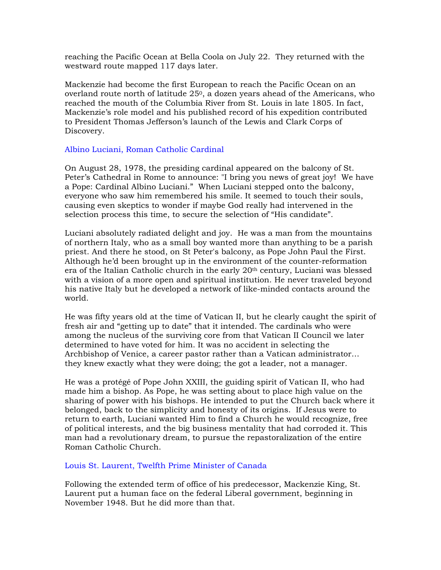reaching the Pacific Ocean at Bella Coola on July 22. They returned with the westward route mapped 117 days later.

Mackenzie had become the first European to reach the Pacific Ocean on an overland route north of latitude  $25<sup>0</sup>$ , a dozen years ahead of the Americans, who reached the mouth of the Columbia River from St. Louis in late 1805. In fact, Mackenzie's role model and his published record of his expedition contributed to President Thomas Jefferson's launch of the Lewis and Clark Corps of Discovery.

# Albino Luciani, Roman Catholic Cardinal

On August 28, 1978, the presiding cardinal appeared on the balcony of St. Peter's Cathedral in Rome to announce: "I bring you news of great joy! We have a Pope: Cardinal Albino Luciani." When Luciani stepped onto the balcony, everyone who saw him remembered his smile. It seemed to touch their souls, causing even skeptics to wonder if maybe God really had intervened in the selection process this time, to secure the selection of "His candidate".

Luciani absolutely radiated delight and joy. He was a man from the mountains of northern Italy, who as a small boy wanted more than anything to be a parish priest. And there he stood, on St Peter's balcony, as Pope John Paul the First. Although he'd been brought up in the environment of the counter-reformation era of the Italian Catholic church in the early  $20<sup>th</sup>$  century, Luciani was blessed with a vision of a more open and spiritual institution. He never traveled beyond his native Italy but he developed a network of like-minded contacts around the world.

He was fifty years old at the time of Vatican II, but he clearly caught the spirit of fresh air and "getting up to date" that it intended. The cardinals who were among the nucleus of the surviving core from that Vatican II Council we later determined to have voted for him. It was no accident in selecting the Archbishop of Venice, a career pastor rather than a Vatican administrator… they knew exactly what they were doing; the got a leader, not a manager.

He was a protégé of Pope John XXIII, the guiding spirit of Vatican II, who had made him a bishop. As Pope, he was setting about to place high value on the sharing of power with his bishops. He intended to put the Church back where it belonged, back to the simplicity and honesty of its origins. If Jesus were to return to earth, Luciani wanted Him to find a Church he would recognize, free of political interests, and the big business mentality that had corroded it. This man had a revolutionary dream, to pursue the repastoralization of the entire Roman Catholic Church.

## Louis St. Laurent, Twelfth Prime Minister of Canada

Following the extended term of office of his predecessor, Mackenzie King, St. Laurent put a human face on the federal Liberal government, beginning in November 1948. But he did more than that.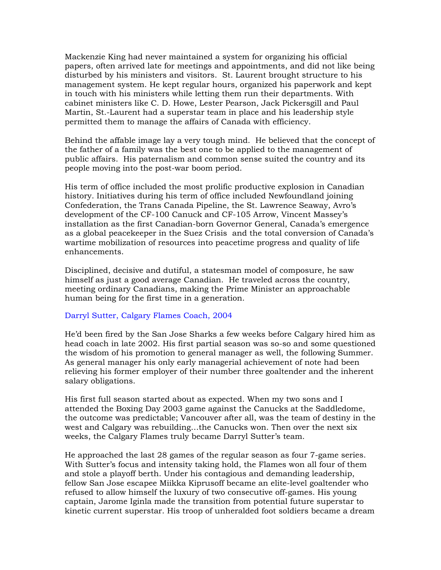Mackenzie King had never maintained a system for organizing his official papers, often arrived late for meetings and appointments, and did not like being disturbed by his ministers and visitors. St. Laurent brought structure to his management system. He kept regular hours, organized his paperwork and kept in touch with his ministers while letting them run their departments. With cabinet ministers like C. D. Howe, Lester Pearson, Jack Pickersgill and Paul Martin, St.-Laurent had a superstar team in place and his leadership style permitted them to manage the affairs of Canada with efficiency.

Behind the affable image lay a very tough mind. He believed that the concept of the father of a family was the best one to be applied to the management of public affairs. His paternalism and common sense suited the country and its people moving into the post-war boom period.

His term of office included the most prolific productive explosion in Canadian history. Initiatives during his term of office included Newfoundland joining Confederation, the Trans Canada Pipeline, the St. Lawrence Seaway, Avro's development of the CF-100 Canuck and CF-105 Arrow, Vincent Massey's installation as the first Canadian-born Governor General, Canada's emergence as a global peacekeeper in the Suez Crisis and the total conversion of Canada's wartime mobilization of resources into peacetime progress and quality of life enhancements.

Disciplined, decisive and dutiful, a statesman model of composure, he saw himself as just a good average Canadian. He traveled across the country, meeting ordinary Canadians, making the Prime Minister an approachable human being for the first time in a generation.

#### Darryl Sutter, Calgary Flames Coach, 2004

He'd been fired by the San Jose Sharks a few weeks before Calgary hired him as head coach in late 2002. His first partial season was so-so and some questioned the wisdom of his promotion to general manager as well, the following Summer. As general manager his only early managerial achievement of note had been relieving his former employer of their number three goaltender and the inherent salary obligations.

His first full season started about as expected. When my two sons and I attended the Boxing Day 2003 game against the Canucks at the Saddledome, the outcome was predictable; Vancouver after all, was the team of destiny in the west and Calgary was rebuilding…the Canucks won. Then over the next six weeks, the Calgary Flames truly became Darryl Sutter's team.

He approached the last 28 games of the regular season as four 7-game series. With Sutter's focus and intensity taking hold, the Flames won all four of them and stole a playoff berth. Under his contagious and demanding leadership, fellow San Jose escapee Miikka Kiprusoff became an elite-level goaltender who refused to allow himself the luxury of two consecutive off-games. His young captain, Jarome Iginla made the transition from potential future superstar to kinetic current superstar. His troop of unheralded foot soldiers became a dream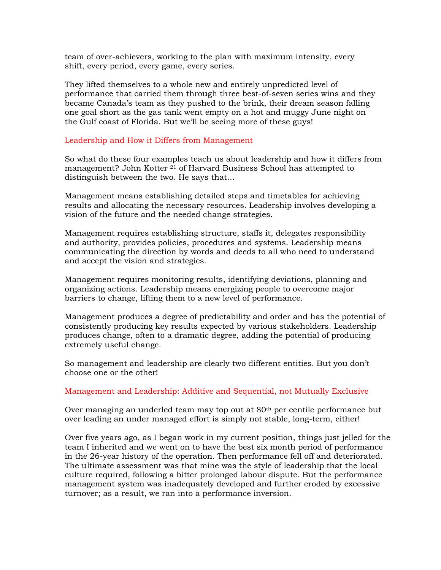team of over-achievers, working to the plan with maximum intensity, every shift, every period, every game, every series.

They lifted themselves to a whole new and entirely unpredicted level of performance that carried them through three best-of-seven series wins and they became Canada's team as they pushed to the brink, their dream season falling one goal short as the gas tank went empty on a hot and muggy June night on the Gulf coast of Florida. But we'll be seeing more of these guys!

#### Leadership and How it Differs from Management

So what do these four examples teach us about leadership and how it differs from management? John Kotter 21 of Harvard Business School has attempted to distinguish between the two. He says that…

Management means establishing detailed steps and timetables for achieving results and allocating the necessary resources. Leadership involves developing a vision of the future and the needed change strategies.

Management requires establishing structure, staffs it, delegates responsibility and authority, provides policies, procedures and systems. Leadership means communicating the direction by words and deeds to all who need to understand and accept the vision and strategies.

Management requires monitoring results, identifying deviations, planning and organizing actions. Leadership means energizing people to overcome major barriers to change, lifting them to a new level of performance.

Management produces a degree of predictability and order and has the potential of consistently producing key results expected by various stakeholders. Leadership produces change, often to a dramatic degree, adding the potential of producing extremely useful change.

So management and leadership are clearly two different entities. But you don't choose one or the other!

#### Management and Leadership: Additive and Sequential, not Mutually Exclusive

Over managing an underled team may top out at 80<sup>th</sup> per centile performance but over leading an under managed effort is simply not stable, long-term, either!

Over five years ago, as I began work in my current position, things just jelled for the team I inherited and we went on to have the best six month period of performance in the 26-year history of the operation. Then performance fell off and deteriorated. The ultimate assessment was that mine was the style of leadership that the local culture required, following a bitter prolonged labour dispute. But the performance management system was inadequately developed and further eroded by excessive turnover; as a result, we ran into a performance inversion.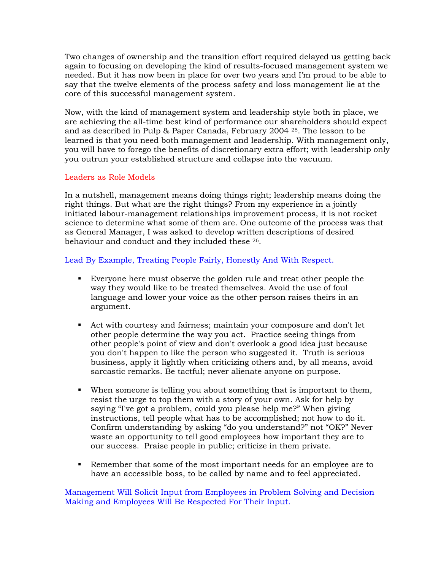Two changes of ownership and the transition effort required delayed us getting back again to focusing on developing the kind of results-focused management system we needed. But it has now been in place for over two years and I'm proud to be able to say that the twelve elements of the process safety and loss management lie at the core of this successful management system.

Now, with the kind of management system and leadership style both in place, we are achieving the all-time best kind of performance our shareholders should expect and as described in Pulp & Paper Canada, February 2004 25. The lesson to be learned is that you need both management and leadership. With management only, you will have to forego the benefits of discretionary extra effort; with leadership only you outrun your established structure and collapse into the vacuum.

# Leaders as Role Models

In a nutshell, management means doing things right; leadership means doing the right things. But what are the right things? From my experience in a jointly initiated labour-management relationships improvement process, it is not rocket science to determine what some of them are. One outcome of the process was that as General Manager, I was asked to develop written descriptions of desired behaviour and conduct and they included these 26.

# Lead By Example, Treating People Fairly, Honestly And With Respect.

- Everyone here must observe the golden rule and treat other people the way they would like to be treated themselves. Avoid the use of foul language and lower your voice as the other person raises theirs in an argument.
- Act with courtesy and fairness; maintain your composure and don't let other people determine the way you act. Practice seeing things from other people's point of view and don't overlook a good idea just because you don't happen to like the person who suggested it. Truth is serious business, apply it lightly when criticizing others and, by all means, avoid sarcastic remarks. Be tactful; never alienate anyone on purpose.
- When someone is telling you about something that is important to them, resist the urge to top them with a story of your own. Ask for help by saying "I've got a problem, could you please help me?" When giving instructions, tell people what has to be accomplished; not how to do it. Confirm understanding by asking "do you understand?" not "OK?" Never waste an opportunity to tell good employees how important they are to our success. Praise people in public; criticize in them private.
- Remember that some of the most important needs for an employee are to have an accessible boss, to be called by name and to feel appreciated.

Management Will Solicit Input from Employees in Problem Solving and Decision Making and Employees Will Be Respected For Their Input.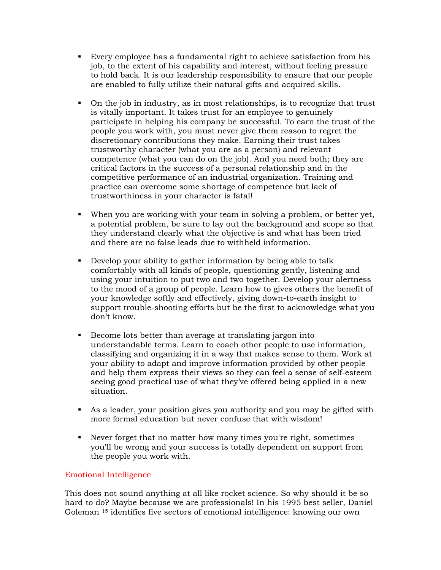- Every employee has a fundamental right to achieve satisfaction from his job, to the extent of his capability and interest, without feeling pressure to hold back. It is our leadership responsibility to ensure that our people are enabled to fully utilize their natural gifts and acquired skills.
- On the job in industry, as in most relationships, is to recognize that trust is vitally important. It takes trust for an employee to genuinely participate in helping his company be successful. To earn the trust of the people you work with, you must never give them reason to regret the discretionary contributions they make. Earning their trust takes trustworthy character (what you are as a person) and relevant competence (what you can do on the job). And you need both; they are critical factors in the success of a personal relationship and in the competitive performance of an industrial organization. Training and practice can overcome some shortage of competence but lack of trustworthiness in your character is fatal!
- When you are working with your team in solving a problem, or better yet, a potential problem, be sure to lay out the background and scope so that they understand clearly what the objective is and what has been tried and there are no false leads due to withheld information.
- Develop your ability to gather information by being able to talk comfortably with all kinds of people, questioning gently, listening and using your intuition to put two and two together. Develop your alertness to the mood of a group of people. Learn how to gives others the benefit of your knowledge softly and effectively, giving down-to-earth insight to support trouble-shooting efforts but be the first to acknowledge what you don't know.
- Become lots better than average at translating jargon into understandable terms. Learn to coach other people to use information, classifying and organizing it in a way that makes sense to them. Work at your ability to adapt and improve information provided by other people and help them express their views so they can feel a sense of self-esteem seeing good practical use of what they've offered being applied in a new situation.
- As a leader, your position gives you authority and you may be gifted with more formal education but never confuse that with wisdom!
- Never forget that no matter how many times you're right, sometimes you'll be wrong and your success is totally dependent on support from the people you work with.

# Emotional Intelligence

This does not sound anything at all like rocket science. So why should it be so hard to do? Maybe because we are professionals! In his 1995 best seller, Daniel Goleman 15 identifies five sectors of emotional intelligence: knowing our own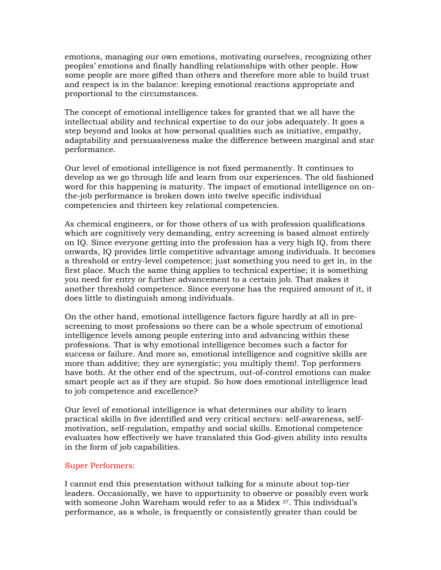emotions, managing our own emotions, motivating ourselves, recognizing other peoples' emotions and finally handling relationships with other people. How some people are more gifted than others and therefore more able to build trust and respect is in the balance: keeping emotional reactions appropriate and proportional to the circumstances.

The concept of emotional intelligence takes for granted that we all have the intellectual ability and technical expertise to do our jobs adequately. It goes a step beyond and looks at how personal qualities such as initiative, empathy, adaptability and persuasiveness make the difference between marginal and star performance.

Our level of emotional intelligence is not fixed permanently. It continues to develop as we go through life and learn from our experiences. The old fashioned word for this happening is maturity. The impact of emotional intelligence on onthe-job performance is broken down into twelve specific individual competencies and thirteen key relational competencies.

As chemical engineers, or for those others of us with profession qualifications which are cognitively very demanding, entry screening is based almost entirely on IQ. Since everyone getting into the profession has a very high IQ, from there onwards, IQ provides little competitive advantage among individuals. It becomes a threshold or entry-level competence; just something you need to get in, in the first place. Much the same thing applies to technical expertise; it is something you need for entry or further advancement to a certain job. That makes it another threshold competence. Since everyone has the required amount of it, it does little to distinguish among individuals.

On the other hand, emotional intelligence factors figure hardly at all in prescreening to most professions so there can be a whole spectrum of emotional intelligence levels among people entering into and advancing within these professions. That is why emotional intelligence becomes such a factor for success or failure. And more so, emotional intelligence and cognitive skills are more than additive; they are synergistic; you multiply them!. Top performers have both. At the other end of the spectrum, out-of-control emotions can make smart people act as if they are stupid. So how does emotional intelligence lead to job competence and excellence?

Our level of emotional intelligence is what determines our ability to learn practical skills in five identified and very critical sectors: self-awareness, selfmotivation, self-regulation, empathy and social skills. Emotional competence evaluates how effectively we have translated this God-given ability into results in the form of job capabilities.

## Super Performers:

I cannot end this presentation without talking for a minute about top-tier leaders. Occasionally, we have to opportunity to observe or possibly even work with someone John Wareham would refer to as a Midex <sup>37</sup>. This individual's performance, as a whole, is frequently or consistently greater than could be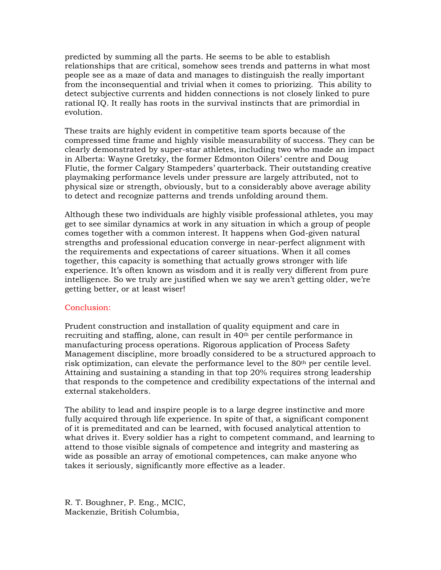predicted by summing all the parts. He seems to be able to establish relationships that are critical, somehow sees trends and patterns in what most people see as a maze of data and manages to distinguish the really important from the inconsequential and trivial when it comes to priorizing. This ability to detect subjective currents and hidden connections is not closely linked to pure rational IQ. It really has roots in the survival instincts that are primordial in evolution.

These traits are highly evident in competitive team sports because of the compressed time frame and highly visible measurability of success. They can be clearly demonstrated by super-star athletes, including two who made an impact in Alberta: Wayne Gretzky, the former Edmonton Oilers' centre and Doug Flutie, the former Calgary Stampeders' quarterback. Their outstanding creative playmaking performance levels under pressure are largely attributed, not to physical size or strength, obviously, but to a considerably above average ability to detect and recognize patterns and trends unfolding around them.

Although these two individuals are highly visible professional athletes, you may get to see similar dynamics at work in any situation in which a group of people comes together with a common interest. It happens when God-given natural strengths and professional education converge in near-perfect alignment with the requirements and expectations of career situations. When it all comes together, this capacity is something that actually grows stronger with life experience. It's often known as wisdom and it is really very different from pure intelligence. So we truly are justified when we say we aren't getting older, we're getting better, or at least wiser!

## Conclusion:

Prudent construction and installation of quality equipment and care in recruiting and staffing, alone, can result in 40th per centile performance in manufacturing process operations. Rigorous application of Process Safety Management discipline, more broadly considered to be a structured approach to risk optimization, can elevate the performance level to the 80th per centile level. Attaining and sustaining a standing in that top 20% requires strong leadership that responds to the competence and credibility expectations of the internal and external stakeholders.

The ability to lead and inspire people is to a large degree instinctive and more fully acquired through life experience. In spite of that, a significant component of it is premeditated and can be learned, with focused analytical attention to what drives it. Every soldier has a right to competent command, and learning to attend to those visible signals of competence and integrity and mastering as wide as possible an array of emotional competences, can make anyone who takes it seriously, significantly more effective as a leader.

R. T. Boughner, P. Eng., MCIC, Mackenzie, British Columbia,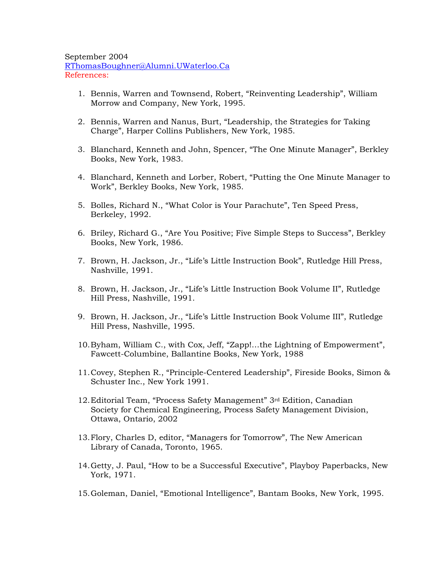September 2004 RThomasBoughner@Alumni.UWaterloo.Ca References:

- 1. Bennis, Warren and Townsend, Robert, "Reinventing Leadership", William Morrow and Company, New York, 1995.
- 2. Bennis, Warren and Nanus, Burt, "Leadership, the Strategies for Taking Charge", Harper Collins Publishers, New York, 1985.
- 3. Blanchard, Kenneth and John, Spencer, "The One Minute Manager", Berkley Books, New York, 1983.
- 4. Blanchard, Kenneth and Lorber, Robert, "Putting the One Minute Manager to Work", Berkley Books, New York, 1985.
- 5. Bolles, Richard N., "What Color is Your Parachute", Ten Speed Press, Berkeley, 1992.
- 6. Briley, Richard G., "Are You Positive; Five Simple Steps to Success", Berkley Books, New York, 1986.
- 7. Brown, H. Jackson, Jr., "Life's Little Instruction Book", Rutledge Hill Press, Nashville, 1991.
- 8. Brown, H. Jackson, Jr., "Life's Little Instruction Book Volume II", Rutledge Hill Press, Nashville, 1991.
- 9. Brown, H. Jackson, Jr., "Life's Little Instruction Book Volume III", Rutledge Hill Press, Nashville, 1995.
- 10.Byham, William C., with Cox, Jeff, "Zapp!…the Lightning of Empowerment", Fawcett-Columbine, Ballantine Books, New York, 1988
- 11.Covey, Stephen R., "Principle-Centered Leadership", Fireside Books, Simon & Schuster Inc., New York 1991.
- 12.Editorial Team, "Process Safety Management" 3rd Edition, Canadian Society for Chemical Engineering, Process Safety Management Division, Ottawa, Ontario, 2002
- 13.Flory, Charles D, editor, "Managers for Tomorrow", The New American Library of Canada, Toronto, 1965.
- 14.Getty, J. Paul, "How to be a Successful Executive", Playboy Paperbacks, New York, 1971.
- 15.Goleman, Daniel, "Emotional Intelligence", Bantam Books, New York, 1995.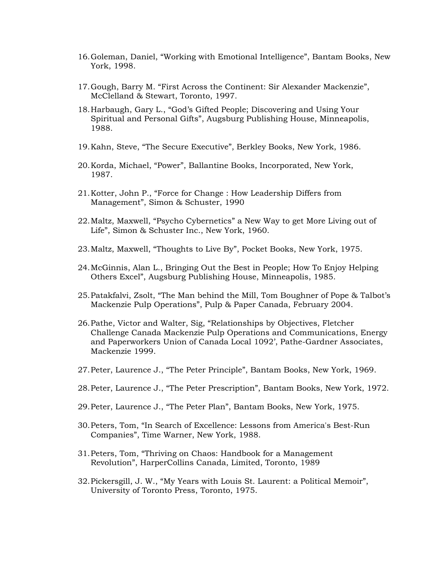- 16.Goleman, Daniel, "Working with Emotional Intelligence", Bantam Books, New York, 1998.
- 17.Gough, Barry M. "First Across the Continent: Sir Alexander Mackenzie", McClelland & Stewart, Toronto, 1997.
- 18.Harbaugh, Gary L., "God's Gifted People; Discovering and Using Your Spiritual and Personal Gifts", Augsburg Publishing House, Minneapolis, 1988.
- 19.Kahn, Steve, "The Secure Executive", Berkley Books, New York, 1986.
- 20.Korda, Michael, "Power", Ballantine Books, Incorporated, New York, 1987.
- 21.Kotter, John P., "Force for Change : How Leadership Differs from Management", Simon & Schuster, 1990
- 22.Maltz, Maxwell, "Psycho Cybernetics" a New Way to get More Living out of Life", Simon & Schuster Inc., New York, 1960.
- 23.Maltz, Maxwell, "Thoughts to Live By", Pocket Books, New York, 1975.
- 24.McGinnis, Alan L., Bringing Out the Best in People; How To Enjoy Helping Others Excel", Augsburg Publishing House, Minneapolis, 1985.
- 25.Patakfalvi, Zsolt, "The Man behind the Mill, Tom Boughner of Pope & Talbot's Mackenzie Pulp Operations", Pulp & Paper Canada, February 2004.
- 26.Pathe, Victor and Walter, Sig, "Relationships by Objectives, Fletcher Challenge Canada Mackenzie Pulp Operations and Communications, Energy and Paperworkers Union of Canada Local 1092', Pathe-Gardner Associates, Mackenzie 1999.
- 27.Peter, Laurence J., "The Peter Principle", Bantam Books, New York, 1969.
- 28.Peter, Laurence J., "The Peter Prescription", Bantam Books, New York, 1972.
- 29.Peter, Laurence J., "The Peter Plan", Bantam Books, New York, 1975.
- 30.Peters, Tom, "In Search of Excellence: Lessons from America's Best-Run Companies", Time Warner, New York, 1988.
- 31.Peters, Tom, "Thriving on Chaos: Handbook for a Management Revolution", HarperCollins Canada, Limited, Toronto, 1989
- 32.Pickersgill, J. W., "My Years with Louis St. Laurent: a Political Memoir", University of Toronto Press, Toronto, 1975.